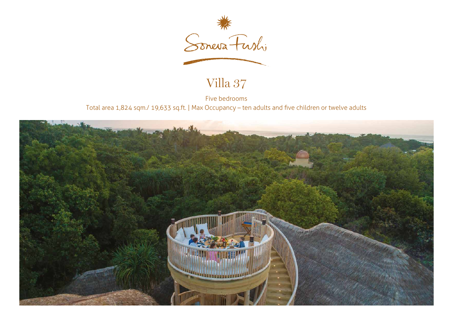

## Villa 37

Five bedrooms Total area 1,824 sqm./ 19,633 sq.ft. | Max Occupancy – ten adults and five children or twelve adults

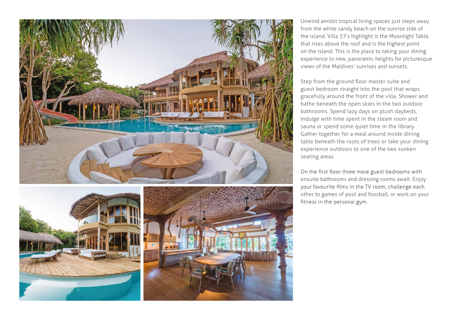





Unwind amidst tropical living spaces just steps away from the white sandy beach on the sunrise side of the island. Villa 37's highlight is the Moonlight Table, that rises above the roof and is the highest point on the island. This is the place to taking your dining experience to new, panoramic heights for picturesque views of the Maldives' sunrises and sunsets.

guest bedroom straight into the pool that wraps gracefully around the front of the villa. Shower and bathe beneath the open skies in the two outdoor bathrooms. Spend lazy days on plush daybeds, indulge with time spent in the steam room and sauna or spend some quiet time in the library. Gather together for a meal around inside dining table beneath the roots of trees or take your dining experience outdoors to one of the two sunken seating areas. Step from the ground floor master suite and

On the first floor three more guest bedrooms with ensuite bathrooms and dressing rooms await. Enjoy your favourite films in the TV room, challenge each other to games of pool and foosball, or work on your fitness in the personal gym.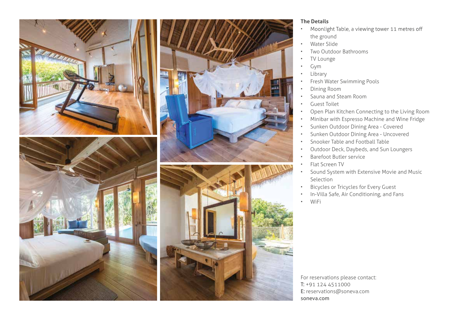





## **The Details**

- Moonlight Table, a viewing tower 11 metres off • the ground
- Water Slide
- Two Outdoor Bathrooms
- TV Lounge
- Gym
- **Library**
- Fresh Water Swimming Pools
- Dining Room
- Sauna and Steam Room
- Guest Toilet
- Open Plan Kitchen Connecting to the Living Room
- Minibar with Espresso Machine and Wine Fridge
- Sunken Outdoor Dining Area Covered
- Sunken Outdoor Dining Area Uncovered
- Snooker Table and Football Table
- Outdoor Deck, Daybeds, and Sun Loungers
- Barefoot Butler service
- Flat Screen TV
- Sound System with Extensive Movie and Music Selection
- Bicycles or Tricycles for Every Guest
- In-Villa Safe, Air Conditioning, and Fans
- WiFi

For reservations please contact: T: +91 124 4511000 E: reservations@soneva.com soneva.com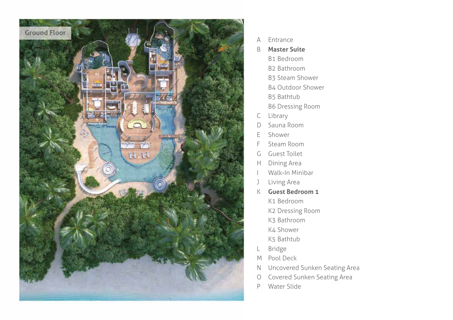

- A Entrance
- B **Master Suite**
	- B1 Bedroom
	- B2 Bathroom
	- B3 Steam Shower
	- B4 Outdoor Shower
	- B5 Bathtub
	- B6 Dressing Room
- C Library
- D Sauna Room
- E Shower
- F Steam Room
- G Guest Toilet
- H Dining Area
- I Walk-In Minibar
- J Living Area
- K **Guest Bedroom 1**
	- K1 Bedroom
	- K2 Dressing Room
	- K3 Bathroom
	- K4 Shower
	- K5 Bathtub
- L Bridge
- M Pool Deck
- N Uncovered Sunken Seating Area
- O Covered Sunken Seating Area
- P Water Slide